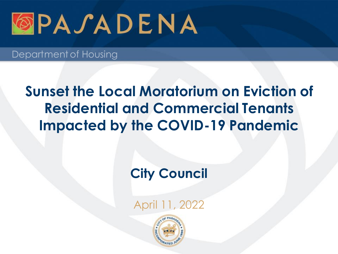

### **Sunset the Local Moratorium on Eviction of Residential and Commercial Tenants Impacted by the COVID-19 Pandemic**

### **City Council**

April 11, 2022

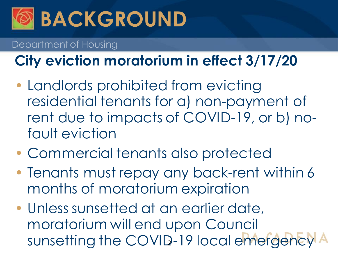

# **City eviction moratorium in effect 3/17/20**

- Landlords prohibited from evicting residential tenants for a) non-payment of rent due to impacts of COVID-19, or b) nofault eviction
- Commercial tenants also protected
- Tenants must repay any back-rent within 6 months of moratorium expiration
- Unless sunsetted at an earlier date, moratorium will end upon Council sunsetting the COVID-19 local emergency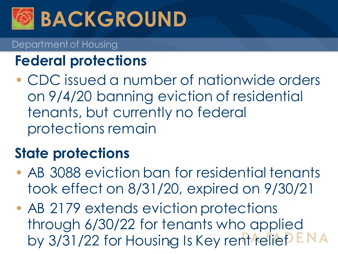

## **Federal protections**

• CDC issued a number of nationwide orders on 9/4/20 banning eviction of residential tenants, but currently no federal protections remain

## **State protections**

- AB 3088 eviction ban for residential tenants took effect on 8/31/20, expired on 9/30/21
- AB 2179 extends eviction protections through 6/30/22 for tenants who applied by 3/31/22 for Housing Is Key rent reliep ENA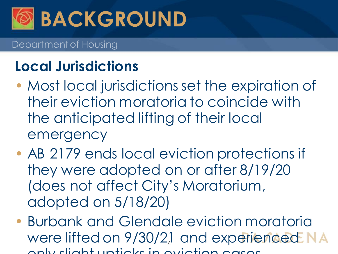

### **Local Jurisdictions**

- Most local jurisdictions set the expiration of their eviction moratoria to coincide with the anticipated lifting of their local emergency
- AB 2179 ends local eviction protections if they were adopted on or after 8/19/20 (does not affect City's Moratorium, adopted on 5/18/20)
- Burbank and Glendale eviction moratoria were lifted on 9/30/2.1 and experienced only slight upticks in eviction cases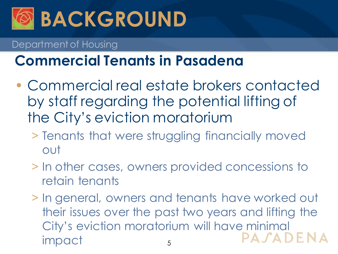

### **Commercial Tenants in Pasadena**

- Commercial real estate brokers contacted by staff regarding the potential lifting of the City's eviction moratorium
	- > Tenants that were struggling financially moved out
	- > In other cases, owners provided concessions to retain tenants
	- > In general, owners and tenants have worked out their issues over the past two years and lifting the City's eviction moratorium will have minimal PASADENA impact 5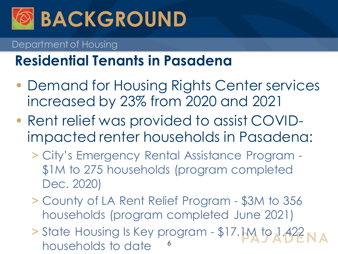

### **Residential Tenants in Pasadena**

- Demand for Housing Rights Center services increased by 23% from 2020 and 2021
- Rent relief was provided to assist COVIDimpacted renter households in Pasadena:
	- > City's Emergency Rental Assistance Program \$1M to 275 households (program completed Dec. 2020)
	- > County of LA Rent Relief Program \$3M to 356 households (program completed June 2021)
	- > State Housing Is Key program \$17.1M to 1,422 households to date <sup>6</sup>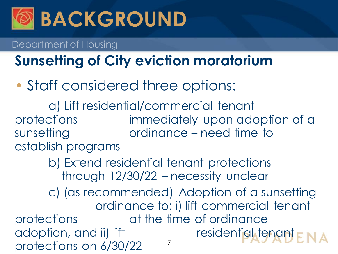

# **Sunsetting of City eviction moratorium**

• Staff considered three options:

a) Lift residential/commercial tenant protections immediately upon adoption of a sunsetting ordinance – need time to establish programs

> b) Extend residential tenant protections through 12/30/22 – necessity unclear

c) (as recommended) Adoption of a sunsetting ordinance to: i) lift commercial tenant protections at the time of ordinance adoption, and ii) lift residential tenant  $\mathbf{r} \times \mathbf{A}$ protections on  $6/30/22$ <sup>7</sup>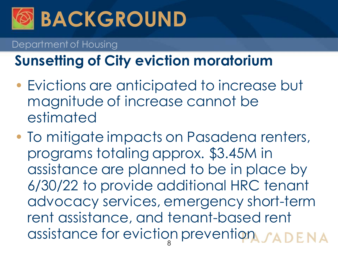

# **Sunsetting of City eviction moratorium**

- Evictions are anticipated to increase but magnitude of increase cannot be estimated
- To mitigate impacts on Pasadena renters, programs totaling approx. \$3.45M in assistance are planned to be in place by 6/30/22 to provide additional HRC tenant advocacy services, emergency short-term rent assistance, and tenant-based rent assistance for eviction prevention 8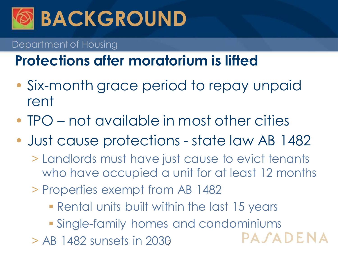

## **Protections after moratorium is lifted**

- Six-month grace period to repay unpaid rent
- TPO not available in most other cities
- Just cause protections state law AB 1482
	- > Landlords must have just cause to evict tenants who have occupied a unit for at least 12 months
	- > Properties exempt from AB 1482
		- **Rental units built within the last 15 years**
		- Single-family homes and condominiums
	- $>$  AB 1482 sunsets in 2030

PASADENA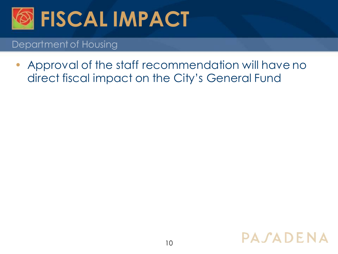

• Approval of the staff recommendation will have no direct fiscal impact on the City's General Fund